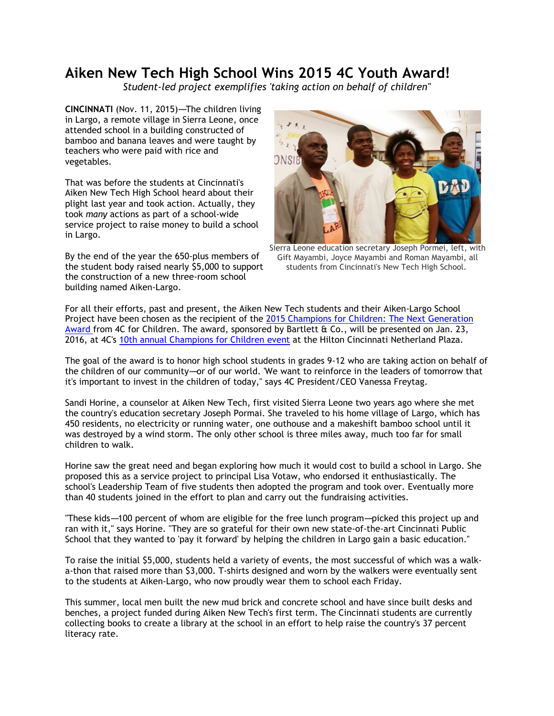## **Aiken New Tech High School Wins 2015 4C Youth Award!**

*Student-led project exemplifies 'taking action on behalf of children''* 

**CINCINNATI** (Nov. 11, 2015)-The children living in Largo, a remote village in Sierra Leone, once attended school in a building constructed of bamboo and banana leaves and were taught by teachers who were paid with rice and vegetables.

That was before the students at Cincinnati's Aiken New Tech High School heard about their plight last year and took action. Actually, they took *many* actions as part of a school-wide service project to raise money to build a school in Largo.

By the end of the year the 650-plus members of the student body raised nearly \$5,000 to support the construction of a new three-room school building named Aiken-Largo.



Sierra Leone education secretary Joseph Pormei, left, with Gift Mayambi, Joyce Mayambi and Roman Mayambi, all students from Cincinnati's New Tech High School.

For all their efforts, past and present, the Aiken New Tech students and their Aiken-Largo School Project have been chosen as the recipient of the [2015 Champions for Children: The Next Generation](http://r20.rs6.net/tn.jsp?f=0017UAdNrrKk4Bmzcyz2Lj6NRr0djBnX-V9G12cfGuEYYlf1fJde0UE226kGNn7No_dmCzxcNrsbgTU_dpAAhcGQGXY95JZ3YgBKcN3qQBtp4fNahN0HIKRFFZvqbMj3O8ZrxXKd5LZeUtt97tahNERLA2hFtIAV76MUutwr1ePjqrVyfhbDzP55eN-4SZrGA7y89JCQCiuDGfAvv4l4CpG5zX9x_5qpOzIoKPCWHtXtWLqwDKKQrSudnPJ25VrVhDZPi57cY6Vd7c=&c=&ch=)  [Award f](http://r20.rs6.net/tn.jsp?f=0017UAdNrrKk4Bmzcyz2Lj6NRr0djBnX-V9G12cfGuEYYlf1fJde0UE226kGNn7No_dmCzxcNrsbgTU_dpAAhcGQGXY95JZ3YgBKcN3qQBtp4fNahN0HIKRFFZvqbMj3O8ZrxXKd5LZeUtt97tahNERLA2hFtIAV76MUutwr1ePjqrVyfhbDzP55eN-4SZrGA7y89JCQCiuDGfAvv4l4CpG5zX9x_5qpOzIoKPCWHtXtWLqwDKKQrSudnPJ25VrVhDZPi57cY6Vd7c=&c=&ch=)rom 4C for Children. The award, sponsored by Bartlett & Co., will be presented on Jan. 23, 2016, at 4C's [10th annual Champions for Children event](http://r20.rs6.net/tn.jsp?f=0017UAdNrrKk4Bmzcyz2Lj6NRr0djBnX-V9G12cfGuEYYlf1fJde0UE2wtxQauPF4q19Hsx_obbs0bQqRDEbeIAVDJs-kloVWOj7ISIN6mF820uSW975d21SwyBCDm8EeaAtogfcAZ7vM82Rk5QS6lFxW55-QjxvwZiwv3jECESNfJrk6eRUkUhzZo9KqQWVPNHQpXIcjRGzsEcP3XQYAJspTrv_4mHTSk_dNZFXnXRy0ys1hmQFVRSOQ==&c=&ch=) at the Hilton Cincinnati Netherland Plaza.

The goal of the award is to honor high school students in grades 9-12 who are taking action on behalf of the children of our community---or of our world. 'We want to reinforce in the leaders of tomorrow that it's important to invest in the children of today," says 4C President/CEO Vanessa Freytag.

Sandi Horine, a counselor at Aiken New Tech, first visited Sierra Leone two years ago where she met the country's education secretary Joseph Pormai. She traveled to his home village of Largo, which has 450 residents, no electricity or running water, one outhouse and a makeshift bamboo school until it was destroyed by a wind storm. The only other school is three miles away, much too far for small children to walk.

Horine saw the great need and began exploring how much it would cost to build a school in Largo. She proposed this as a service project to principal Lisa Votaw, who endorsed it enthusiastically. The school's Leadership Team of five students then adopted the program and took over. Eventually more than 40 students joined in the effort to plan and carry out the fundraising activities.

"These kids--100 percent of whom are eligible for the free lunch program---picked this project up and ran with it," says Horine. "They are so grateful for their own new state-of-the-art Cincinnati Public School that they wanted to 'pay it forward' by helping the children in Largo gain a basic education."

To raise the initial \$5,000, students held a variety of events, the most successful of which was a walka-thon that raised more than \$3,000. T-shirts designed and worn by the walkers were eventually sent to the students at Aiken-Largo, who now proudly wear them to school each Friday.

This summer, local men built the new mud brick and concrete school and have since built desks and benches, a project funded during Aiken New Tech's first term. The Cincinnati students are currently collecting books to create a library at the school in an effort to help raise the country's 37 percent literacy rate.